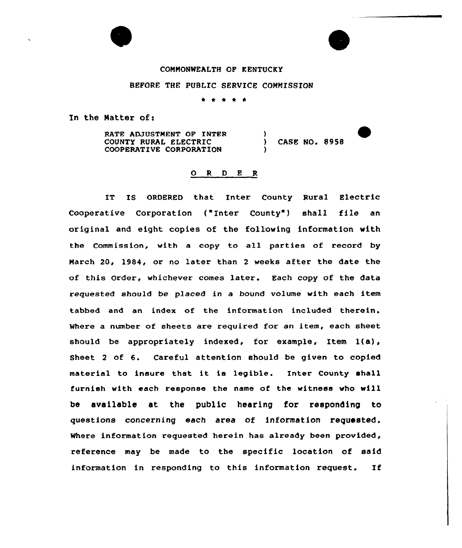## CONNONWEALTH OF KENTUCKY

## BEFORE THE PUBLIC SERVICE COMMISSION

\* \* \* \*

In the Natter of:

RATE ADJUSTMENT OF INTER COUNTY RURAL ELECTRIC COOPERATIVE CORPORATION

) CASE NO. 8958

)

)

### 0 <sup>R</sup> <sup>D</sup> E <sup>R</sup>

IT IS ORDERED that Inter County Rural Electric Cooperative Corporation ("Inter County") shall file an original and eight copies of the following information with the Commission, with a copy to all parties of record by March 20, 1984, or no later than <sup>2</sup> weeks after the date the of this Order, whichever comes later. Each copy of the data requested should be placed in a bound volume with each item tabbed and an index of the information included therein. Where a number of sheets are required for an item, each sheet should be appropriately indexed, for example, Item l(a), Sheet <sup>2</sup> of 6. Careful attention should be given to copied material to insure that it is legible. Inter County shall furnish with each response the name of the witness who will be available at the public hearing for responding to questions concerning each area of information requested. Where information requested herein has already been provided, reference may be made to the specific location of said information in responding ta this information request. If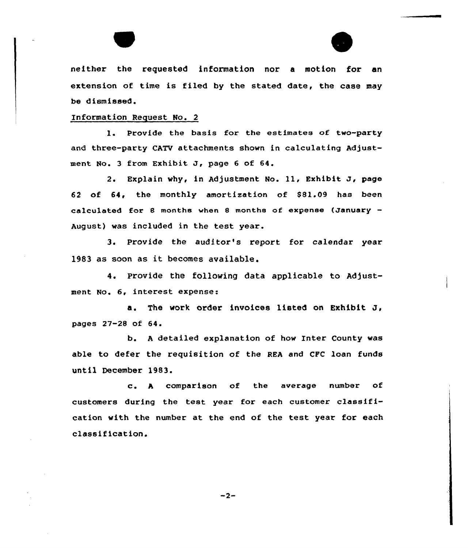



neither the requested information nor a motion for an extension of time is filed by the stated date, the case may be dismissed.

#### Information Request No. 2

1. Provide the basis for the estimates of two-party and three-party CATV attachments shown in calculating Adjustment No. 3 from Exhibit J, page 6 of 64.

2. Explain why, in Adjustment No. 11, Exhibit J, page 62 of 64, the monthly amortization of \$81.09 has been calculated for <sup>8</sup> months when <sup>8</sup> months of expense (January August) was included in the test year.

3. Provide the auditor''s report for calendar year 1983 as soon as it becomes available.

4. Provide the following data applicable to Adjustment No. 6, interest expense:

a. The work order invoices listed on Exhibit J, pages 27-28 of 64.

b. <sup>A</sup> detailed explanation af how Inter County was able ta defer the requisition of the REA and CFC loan funds until December 1983.

c. <sup>A</sup> comparison af the average number af customers during the test year for each customer classification with the number at the end of the test year for each classification.

 $-2-$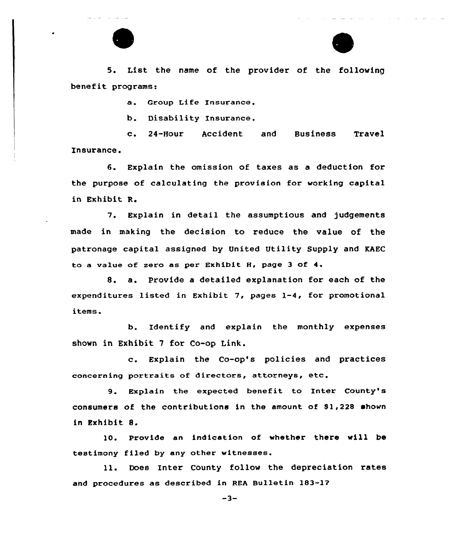

5. List the name of the provider of the following benefit programs:

a. Group Life Insurance.

b. Disability Insurance.

c. 24-Hour Accident and Business Travel Insurance.

6. Explain the omission of taxes as a deduction for the purpose of calculating the provision for working capital in Exhibit R.

7. Explain in detail the assumptious and judgements made in making the decision to reduce the value of the patronage capital assigned by United Utility Supply and KAEC to a value of zero as per Exhibit H, page <sup>3</sup> of 4.

8. a. Provide <sup>a</sup> detailed explanation for each of the expenditures listed in Exhibit 7, pages 1-4, for promotional items.

b. Identify and explain the monthly expenses shown in Exhibit 7 for Co-op Link.

c. Explain the Co-op's policies and practices concerning portraits of directors, attorneys, etc.

9. Explain the expected benefit to Inter County's consumers of the contributions in the amount of S1,228 shown in Exhibit 8.

10. Provide an indication of whether there vill be testimony filed by any other witnesses.

ll. Does Inter County follow the depreciation rates and procedures as described in REA Bulletin 183-17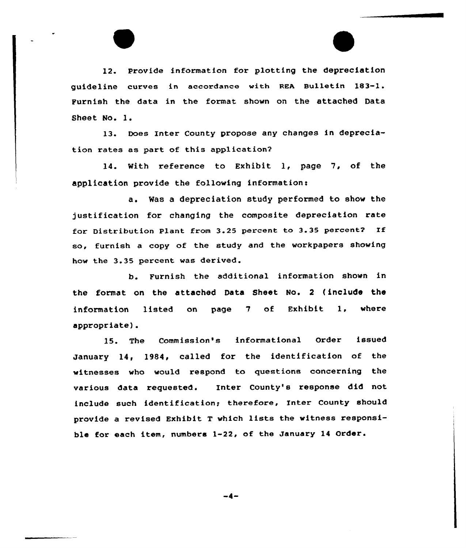12. Provide information for plotting the depreciation guideline curves in accardance with REA Bulletin 183-1. Furnish the data in the format shown on the attached Data Sheet No. l.

13. Does Inter County propose any changes in depreciation rates as part of this application?

14. With reference to Exhibit 1, page 7, of the application provide the following information:

a. Was a depreciation study performed to show the justification for changing the composite depreciation rate for Distribution Plant from 3.25 percent to 3.35 percent? If so, furnish a copy of the study and the workpapers showing how the 3.35 percent was derived.

b. Furnish the additional information shown in the format on the attached Data Sheet No. 2 (include the information listed on page 7 of Exhibit 1, where appropriate).

15. The Commission's informational Order issued January 14, 1984, called for the identification of the witnesses who would respond to questions concerning the various data requested. Inter County's response did not include such identification; therefore, Inter County should provide <sup>a</sup> revised Exhibit <sup>T</sup> which lists the witness responsible for each item, numbers 1-22, af the January 14 Order.

 $-4-$